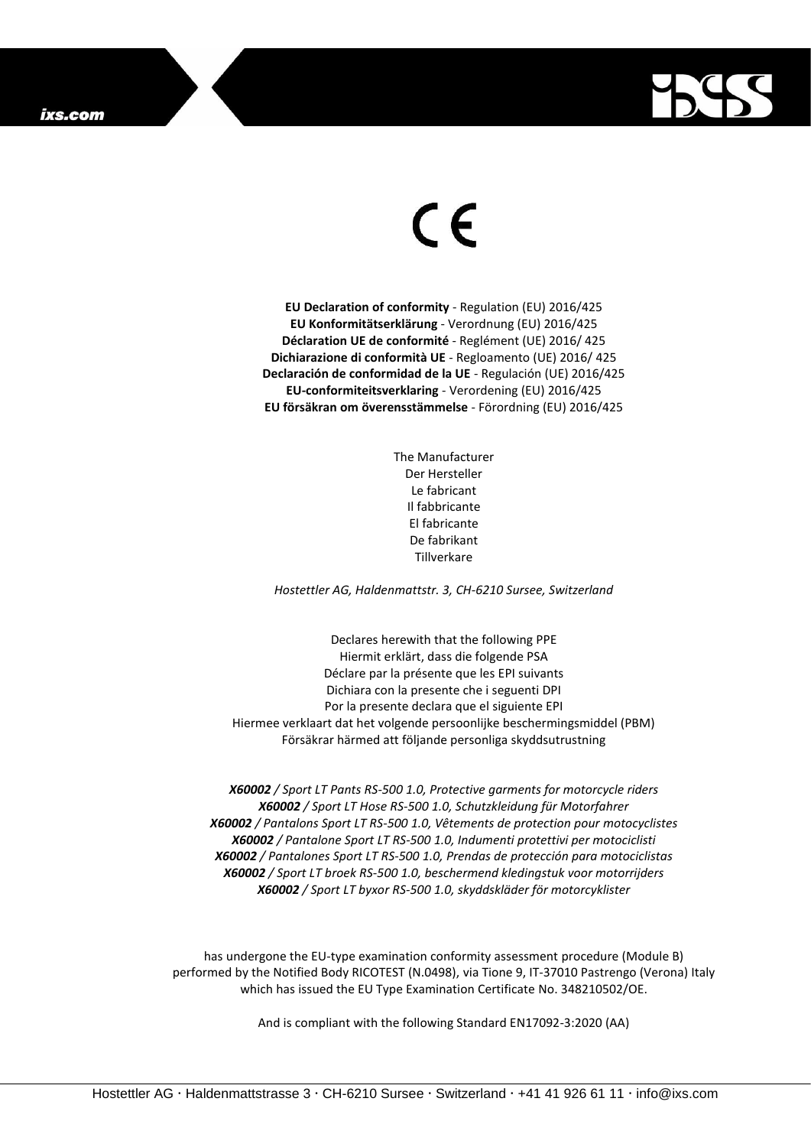

## $\epsilon$

**EU Declaration of conformity** - Regulation (EU) 2016/425 **EU Konformitätserklärung** - Verordnung (EU) 2016/425 **Déclaration UE de conformité** - Reglément (UE) 2016/ 425 **Dichiarazione di conformità UE** - Regloamento (UE) 2016/ 425 **Declaración de conformidad de la UE** - Regulación (UE) 2016/425 **EU-conformiteitsverklaring** - Verordening (EU) 2016/425 **EU försäkran om överensstämmelse** - Förordning (EU) 2016/425

> The Manufacturer Der Hersteller Le fabricant Il fabbricante El fabricante De fabrikant Tillverkare

*Hostettler AG, Haldenmattstr. 3, CH-6210 Sursee, Switzerland*

Declares herewith that the following PPE Hiermit erklärt, dass die folgende PSA Déclare par la présente que les EPI suivants Dichiara con la presente che i seguenti DPI Por la presente declara que el siguiente EPI Hiermee verklaart dat het volgende persoonlijke beschermingsmiddel (PBM) Försäkrar härmed att följande personliga skyddsutrustning

*X60002 / Sport LT Pants RS-500 1.0, Protective garments for motorcycle riders X60002 / Sport LT Hose RS-500 1.0, Schutzkleidung für Motorfahrer X60002 / Pantalons Sport LT RS-500 1.0, Vêtements de protection pour motocyclistes X60002 / Pantalone Sport LT RS-500 1.0, Indumenti protettivi per motociclisti X60002 / Pantalones Sport LT RS-500 1.0, Prendas de protección para motociclistas X60002 / Sport LT broek RS-500 1.0, beschermend kledingstuk voor motorrijders X60002 / Sport LT byxor RS-500 1.0, skyddskläder för motorcyklister*

has undergone the EU-type examination conformity assessment procedure (Module B) performed by the Notified Body RICOTEST (N.0498), via Tione 9, IT-37010 Pastrengo (Verona) Italy which has issued the EU Type Examination Certificate No. 348210502/OE.

And is compliant with the following Standard EN17092-3:2020 (AA)